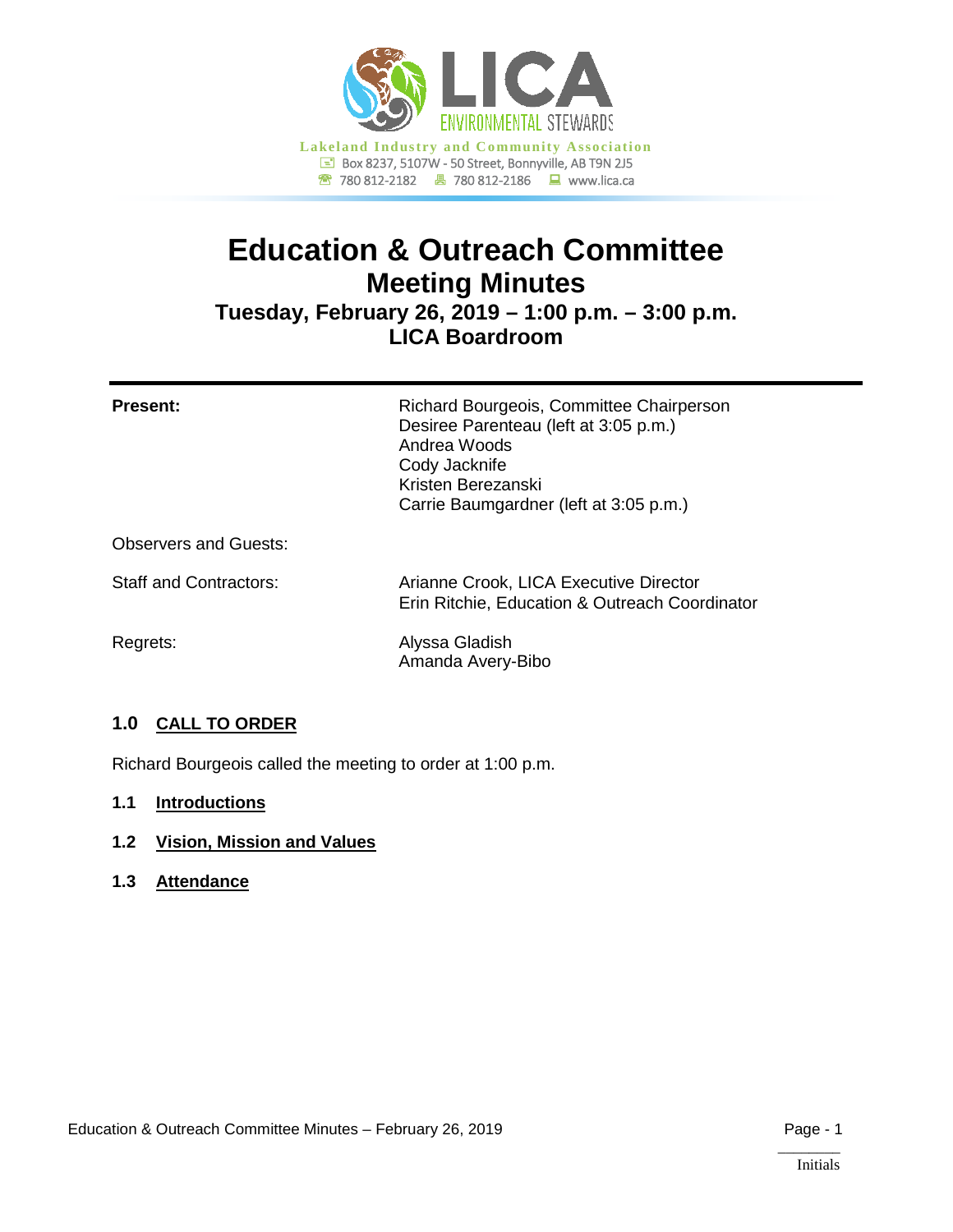

# **Education & Outreach Committee Meeting Minutes**

**Tuesday, February 26, 2019 – 1:00 p.m. – 3:00 p.m. LICA Boardroom**

| <b>Present:</b>               | Richard Bourgeois, Committee Chairperson<br>Desiree Parenteau (left at 3:05 p.m.)<br>Andrea Woods<br>Cody Jacknife<br>Kristen Berezanski<br>Carrie Baumgardner (left at 3:05 p.m.) |
|-------------------------------|------------------------------------------------------------------------------------------------------------------------------------------------------------------------------------|
| <b>Observers and Guests:</b>  |                                                                                                                                                                                    |
| <b>Staff and Contractors:</b> | Arianne Crook, LICA Executive Director<br>Erin Ritchie, Education & Outreach Coordinator                                                                                           |
| Regrets:                      | Alyssa Gladish                                                                                                                                                                     |

Amanda Avery-Bibo

# **1.0 CALL TO ORDER**

Richard Bourgeois called the meeting to order at 1:00 p.m.

# **1.1 Introductions**

- **1.2 Vision, Mission and Values**
- **1.3 Attendance**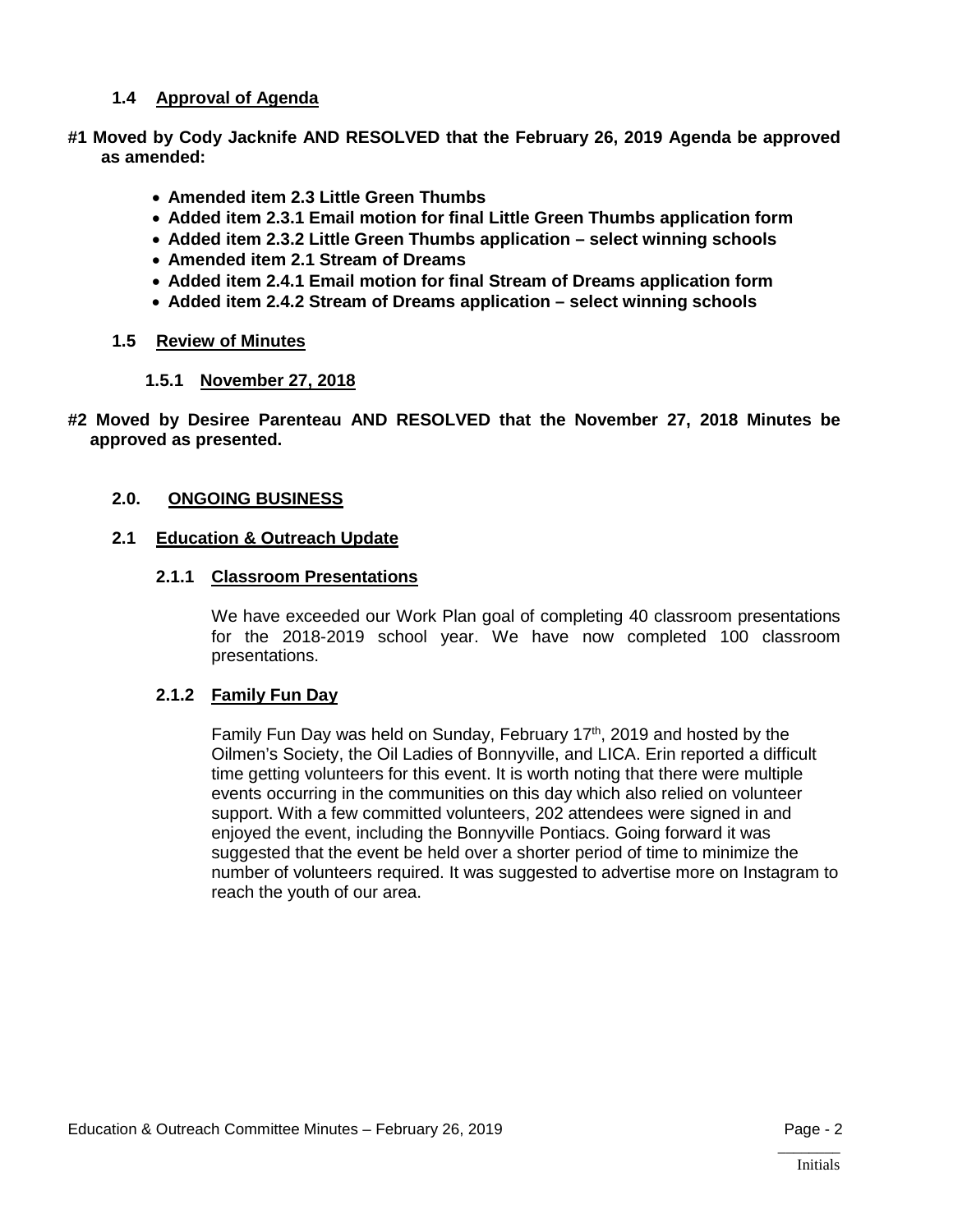# **1.4 Approval of Agenda**

- **#1 Moved by Cody Jacknife AND RESOLVED that the February 26, 2019 Agenda be approved as amended:**
	- **Amended item 2.3 Little Green Thumbs**
	- **Added item 2.3.1 Email motion for final Little Green Thumbs application form**
	- **Added item 2.3.2 Little Green Thumbs application – select winning schools**
	- **Amended item 2.1 Stream of Dreams**
	- **Added item 2.4.1 Email motion for final Stream of Dreams application form**
	- **Added item 2.4.2 Stream of Dreams application – select winning schools**

# **1.5 Review of Minutes**

- **1.5.1 November 27, 2018**
- **#2 Moved by Desiree Parenteau AND RESOLVED that the November 27, 2018 Minutes be approved as presented.**

# **2.0. ONGOING BUSINESS**

# **2.1 Education & Outreach Update**

#### **2.1.1 Classroom Presentations**

We have exceeded our Work Plan goal of completing 40 classroom presentations for the 2018-2019 school year. We have now completed 100 classroom presentations.

# **2.1.2 Family Fun Day**

Family Fun Day was held on Sunday, February  $17<sup>th</sup>$ , 2019 and hosted by the Oilmen's Society, the Oil Ladies of Bonnyville, and LICA. Erin reported a difficult time getting volunteers for this event. It is worth noting that there were multiple events occurring in the communities on this day which also relied on volunteer support. With a few committed volunteers, 202 attendees were signed in and enjoyed the event, including the Bonnyville Pontiacs. Going forward it was suggested that the event be held over a shorter period of time to minimize the number of volunteers required. It was suggested to advertise more on Instagram to reach the youth of our area.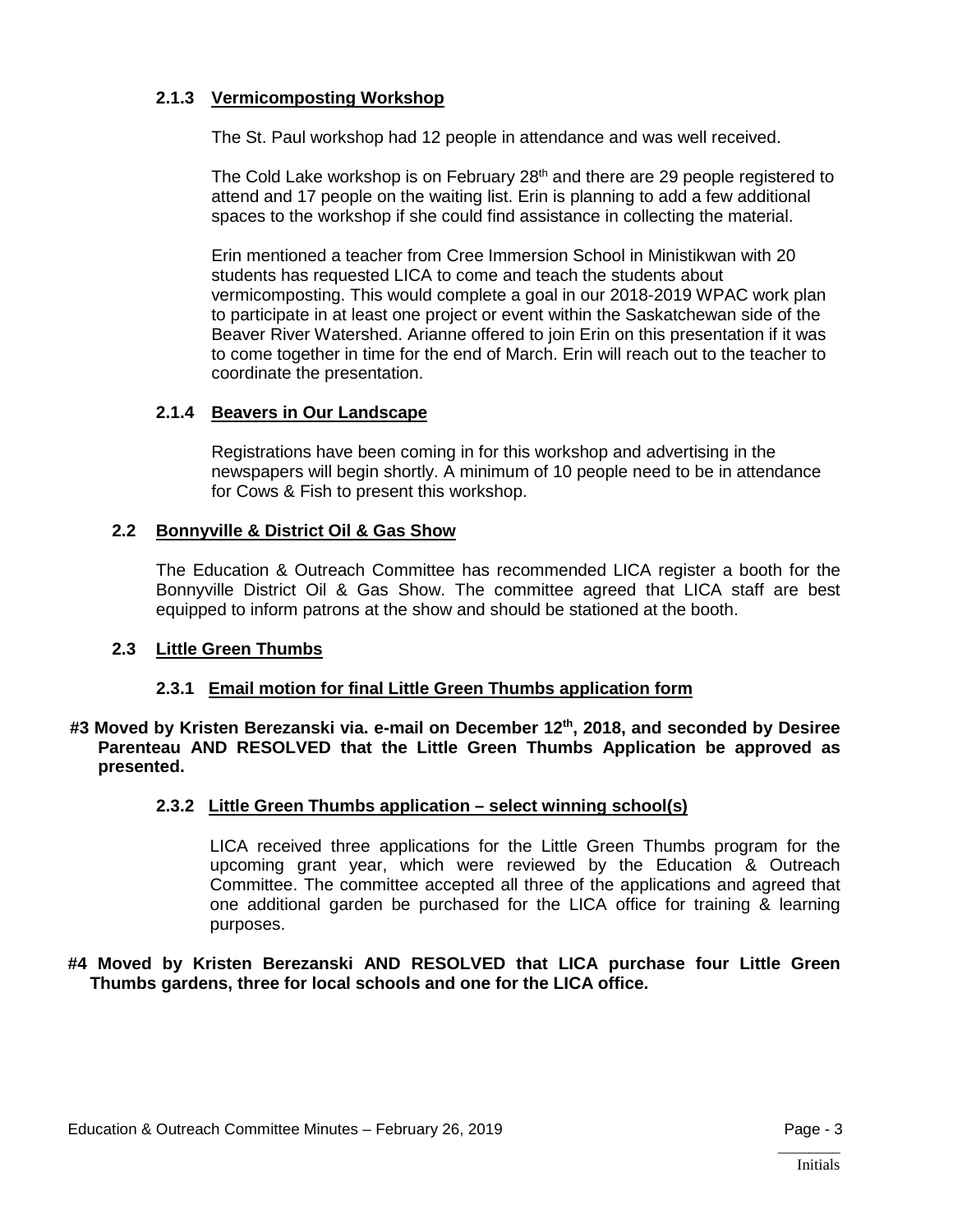# **2.1.3 Vermicomposting Workshop**

The St. Paul workshop had 12 people in attendance and was well received.

The Cold Lake workshop is on February  $28<sup>th</sup>$  and there are 29 people registered to attend and 17 people on the waiting list. Erin is planning to add a few additional spaces to the workshop if she could find assistance in collecting the material.

Erin mentioned a teacher from Cree Immersion School in Ministikwan with 20 students has requested LICA to come and teach the students about vermicomposting. This would complete a goal in our 2018-2019 WPAC work plan to participate in at least one project or event within the Saskatchewan side of the Beaver River Watershed. Arianne offered to join Erin on this presentation if it was to come together in time for the end of March. Erin will reach out to the teacher to coordinate the presentation.

# **2.1.4 Beavers in Our Landscape**

Registrations have been coming in for this workshop and advertising in the newspapers will begin shortly. A minimum of 10 people need to be in attendance for Cows & Fish to present this workshop.

# **2.2 Bonnyville & District Oil & Gas Show**

The Education & Outreach Committee has recommended LICA register a booth for the Bonnyville District Oil & Gas Show. The committee agreed that LICA staff are best equipped to inform patrons at the show and should be stationed at the booth.

# **2.3 Little Green Thumbs**

# **2.3.1 Email motion for final Little Green Thumbs application form**

#### **#3 Moved by Kristen Berezanski via. e-mail on December 12th, 2018, and seconded by Desiree Parenteau AND RESOLVED that the Little Green Thumbs Application be approved as presented.**

# **2.3.2 Little Green Thumbs application – select winning school(s)**

LICA received three applications for the Little Green Thumbs program for the upcoming grant year, which were reviewed by the Education & Outreach Committee. The committee accepted all three of the applications and agreed that one additional garden be purchased for the LICA office for training & learning purposes.

#### **#4 Moved by Kristen Berezanski AND RESOLVED that LICA purchase four Little Green Thumbs gardens, three for local schools and one for the LICA office.**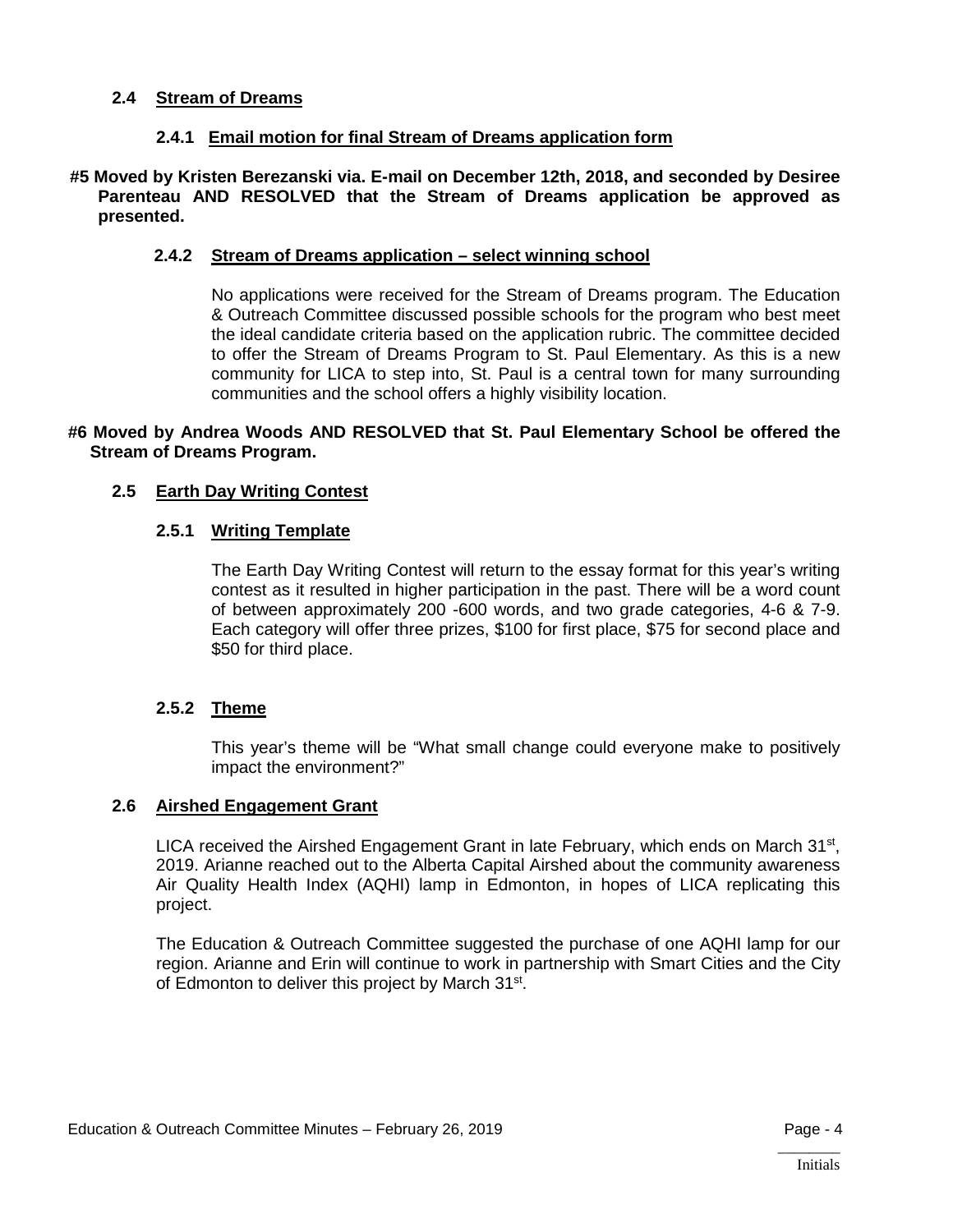#### **2.4 Stream of Dreams**

#### **2.4.1 Email motion for final Stream of Dreams application form**

**#5 Moved by Kristen Berezanski via. E-mail on December 12th, 2018, and seconded by Desiree Parenteau AND RESOLVED that the Stream of Dreams application be approved as presented.**

#### **2.4.2 Stream of Dreams application – select winning school**

No applications were received for the Stream of Dreams program. The Education & Outreach Committee discussed possible schools for the program who best meet the ideal candidate criteria based on the application rubric. The committee decided to offer the Stream of Dreams Program to St. Paul Elementary. As this is a new community for LICA to step into, St. Paul is a central town for many surrounding communities and the school offers a highly visibility location.

#### **#6 Moved by Andrea Woods AND RESOLVED that St. Paul Elementary School be offered the Stream of Dreams Program.**

#### **2.5 Earth Day Writing Contest**

#### **2.5.1 Writing Template**

The Earth Day Writing Contest will return to the essay format for this year's writing contest as it resulted in higher participation in the past. There will be a word count of between approximately 200 -600 words, and two grade categories, 4-6 & 7-9. Each category will offer three prizes, \$100 for first place, \$75 for second place and \$50 for third place.

#### **2.5.2 Theme**

This year's theme will be "What small change could everyone make to positively impact the environment?"

#### **2.6 Airshed Engagement Grant**

LICA received the Airshed Engagement Grant in late February, which ends on March 31<sup>st</sup>, 2019. Arianne reached out to the Alberta Capital Airshed about the community awareness Air Quality Health Index (AQHI) lamp in Edmonton, in hopes of LICA replicating this project.

The Education & Outreach Committee suggested the purchase of one AQHI lamp for our region. Arianne and Erin will continue to work in partnership with Smart Cities and the City of Edmonton to deliver this project by March 31<sup>st</sup>.